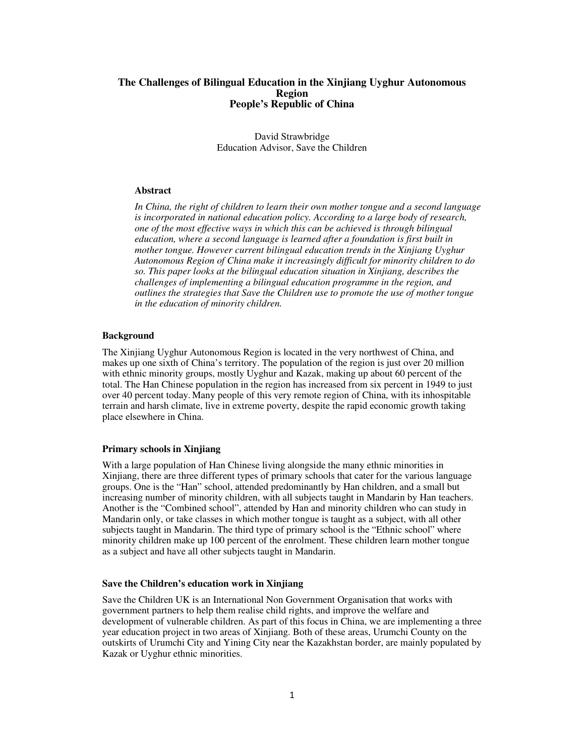## **The Challenges of Bilingual Education in the Xinjiang Uyghur Autonomous Region People's Republic of China**

David Strawbridge Education Advisor, Save the Children

### **Abstract**

*In China, the right of children to learn their own mother tongue and a second language is incorporated in national education policy. According to a large body of research, one of the most effective ways in which this can be achieved is through bilingual education, where a second language is learned after a foundation is first built in mother tongue. However current bilingual education trends in the Xinjiang Uyghur Autonomous Region of China make it increasingly difficult for minority children to do so. This paper looks at the bilingual education situation in Xinjiang, describes the challenges of implementing a bilingual education programme in the region, and outlines the strategies that Save the Children use to promote the use of mother tongue in the education of minority children.* 

# **Background**

The Xinjiang Uyghur Autonomous Region is located in the very northwest of China, and makes up one sixth of China's territory. The population of the region is just over 20 million with ethnic minority groups, mostly Uyghur and Kazak, making up about 60 percent of the total. The Han Chinese population in the region has increased from six percent in 1949 to just over 40 percent today. Many people of this very remote region of China, with its inhospitable terrain and harsh climate, live in extreme poverty, despite the rapid economic growth taking place elsewhere in China.

#### **Primary schools in Xinjiang**

With a large population of Han Chinese living alongside the many ethnic minorities in Xinjiang, there are three different types of primary schools that cater for the various language groups. One is the "Han" school, attended predominantly by Han children, and a small but increasing number of minority children, with all subjects taught in Mandarin by Han teachers. Another is the "Combined school", attended by Han and minority children who can study in Mandarin only, or take classes in which mother tongue is taught as a subject, with all other subjects taught in Mandarin. The third type of primary school is the "Ethnic school" where minority children make up 100 percent of the enrolment. These children learn mother tongue as a subject and have all other subjects taught in Mandarin.

## **Save the Children's education work in Xinjiang**

Save the Children UK is an International Non Government Organisation that works with government partners to help them realise child rights, and improve the welfare and development of vulnerable children. As part of this focus in China, we are implementing a three year education project in two areas of Xinjiang. Both of these areas, Urumchi County on the outskirts of Urumchi City and Yining City near the Kazakhstan border, are mainly populated by Kazak or Uyghur ethnic minorities.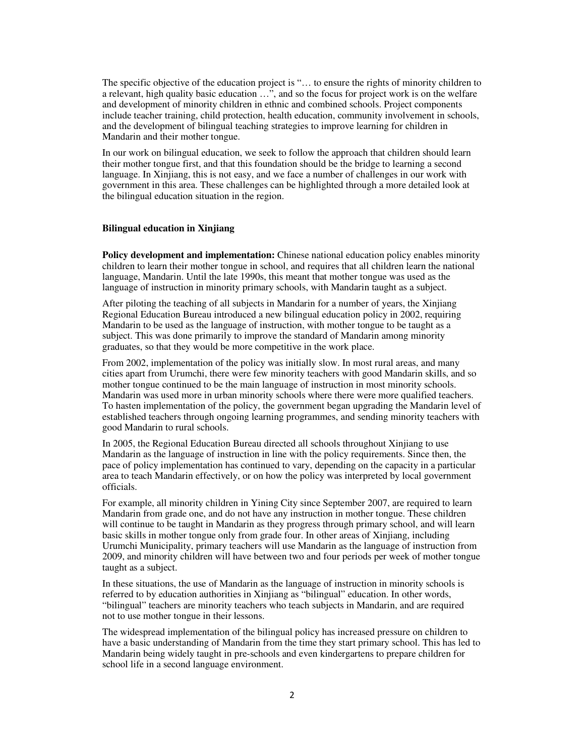The specific objective of the education project is "… to ensure the rights of minority children to a relevant, high quality basic education …", and so the focus for project work is on the welfare and development of minority children in ethnic and combined schools. Project components include teacher training, child protection, health education, community involvement in schools, and the development of bilingual teaching strategies to improve learning for children in Mandarin and their mother tongue.

In our work on bilingual education, we seek to follow the approach that children should learn their mother tongue first, and that this foundation should be the bridge to learning a second language. In Xinjiang, this is not easy, and we face a number of challenges in our work with government in this area. These challenges can be highlighted through a more detailed look at the bilingual education situation in the region.

### **Bilingual education in Xinjiang**

**Policy development and implementation:** Chinese national education policy enables minority children to learn their mother tongue in school, and requires that all children learn the national language, Mandarin. Until the late 1990s, this meant that mother tongue was used as the language of instruction in minority primary schools, with Mandarin taught as a subject.

After piloting the teaching of all subjects in Mandarin for a number of years, the Xinjiang Regional Education Bureau introduced a new bilingual education policy in 2002, requiring Mandarin to be used as the language of instruction, with mother tongue to be taught as a subject. This was done primarily to improve the standard of Mandarin among minority graduates, so that they would be more competitive in the work place.

From 2002, implementation of the policy was initially slow. In most rural areas, and many cities apart from Urumchi, there were few minority teachers with good Mandarin skills, and so mother tongue continued to be the main language of instruction in most minority schools. Mandarin was used more in urban minority schools where there were more qualified teachers. To hasten implementation of the policy, the government began upgrading the Mandarin level of established teachers through ongoing learning programmes, and sending minority teachers with good Mandarin to rural schools.

In 2005, the Regional Education Bureau directed all schools throughout Xinjiang to use Mandarin as the language of instruction in line with the policy requirements. Since then, the pace of policy implementation has continued to vary, depending on the capacity in a particular area to teach Mandarin effectively, or on how the policy was interpreted by local government officials.

For example, all minority children in Yining City since September 2007, are required to learn Mandarin from grade one, and do not have any instruction in mother tongue. These children will continue to be taught in Mandarin as they progress through primary school, and will learn basic skills in mother tongue only from grade four. In other areas of Xinjiang, including Urumchi Municipality, primary teachers will use Mandarin as the language of instruction from 2009, and minority children will have between two and four periods per week of mother tongue taught as a subject.

In these situations, the use of Mandarin as the language of instruction in minority schools is referred to by education authorities in Xinjiang as "bilingual" education. In other words, "bilingual" teachers are minority teachers who teach subjects in Mandarin, and are required not to use mother tongue in their lessons.

The widespread implementation of the bilingual policy has increased pressure on children to have a basic understanding of Mandarin from the time they start primary school. This has led to Mandarin being widely taught in pre-schools and even kindergartens to prepare children for school life in a second language environment.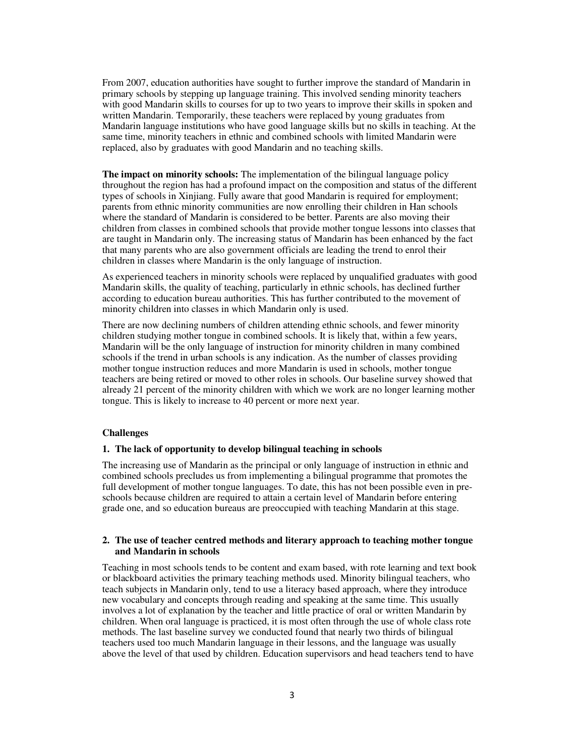From 2007, education authorities have sought to further improve the standard of Mandarin in primary schools by stepping up language training. This involved sending minority teachers with good Mandarin skills to courses for up to two years to improve their skills in spoken and written Mandarin. Temporarily, these teachers were replaced by young graduates from Mandarin language institutions who have good language skills but no skills in teaching. At the same time, minority teachers in ethnic and combined schools with limited Mandarin were replaced, also by graduates with good Mandarin and no teaching skills.

**The impact on minority schools:** The implementation of the bilingual language policy throughout the region has had a profound impact on the composition and status of the different types of schools in Xinjiang. Fully aware that good Mandarin is required for employment; parents from ethnic minority communities are now enrolling their children in Han schools where the standard of Mandarin is considered to be better. Parents are also moving their children from classes in combined schools that provide mother tongue lessons into classes that are taught in Mandarin only. The increasing status of Mandarin has been enhanced by the fact that many parents who are also government officials are leading the trend to enrol their children in classes where Mandarin is the only language of instruction.

As experienced teachers in minority schools were replaced by unqualified graduates with good Mandarin skills, the quality of teaching, particularly in ethnic schools, has declined further according to education bureau authorities. This has further contributed to the movement of minority children into classes in which Mandarin only is used.

There are now declining numbers of children attending ethnic schools, and fewer minority children studying mother tongue in combined schools. It is likely that, within a few years, Mandarin will be the only language of instruction for minority children in many combined schools if the trend in urban schools is any indication. As the number of classes providing mother tongue instruction reduces and more Mandarin is used in schools, mother tongue teachers are being retired or moved to other roles in schools. Our baseline survey showed that already 21 percent of the minority children with which we work are no longer learning mother tongue. This is likely to increase to 40 percent or more next year.

### **Challenges**

## **1. The lack of opportunity to develop bilingual teaching in schools**

The increasing use of Mandarin as the principal or only language of instruction in ethnic and combined schools precludes us from implementing a bilingual programme that promotes the full development of mother tongue languages. To date, this has not been possible even in preschools because children are required to attain a certain level of Mandarin before entering grade one, and so education bureaus are preoccupied with teaching Mandarin at this stage.

## **2. The use of teacher centred methods and literary approach to teaching mother tongue and Mandarin in schools**

Teaching in most schools tends to be content and exam based, with rote learning and text book or blackboard activities the primary teaching methods used. Minority bilingual teachers, who teach subjects in Mandarin only, tend to use a literacy based approach, where they introduce new vocabulary and concepts through reading and speaking at the same time. This usually involves a lot of explanation by the teacher and little practice of oral or written Mandarin by children. When oral language is practiced, it is most often through the use of whole class rote methods. The last baseline survey we conducted found that nearly two thirds of bilingual teachers used too much Mandarin language in their lessons, and the language was usually above the level of that used by children. Education supervisors and head teachers tend to have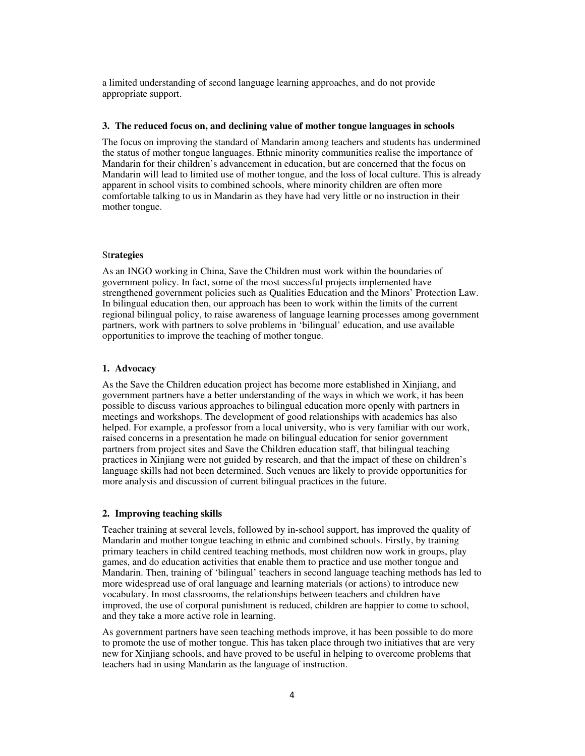a limited understanding of second language learning approaches, and do not provide appropriate support.

## **3. The reduced focus on, and declining value of mother tongue languages in schools**

The focus on improving the standard of Mandarin among teachers and students has undermined the status of mother tongue languages. Ethnic minority communities realise the importance of Mandarin for their children's advancement in education, but are concerned that the focus on Mandarin will lead to limited use of mother tongue, and the loss of local culture. This is already apparent in school visits to combined schools, where minority children are often more comfortable talking to us in Mandarin as they have had very little or no instruction in their mother tongue.

## St**rategies**

As an INGO working in China, Save the Children must work within the boundaries of government policy. In fact, some of the most successful projects implemented have strengthened government policies such as Qualities Education and the Minors' Protection Law. In bilingual education then, our approach has been to work within the limits of the current regional bilingual policy, to raise awareness of language learning processes among government partners, work with partners to solve problems in 'bilingual' education, and use available opportunities to improve the teaching of mother tongue.

# **1. Advocacy**

As the Save the Children education project has become more established in Xinjiang, and government partners have a better understanding of the ways in which we work, it has been possible to discuss various approaches to bilingual education more openly with partners in meetings and workshops. The development of good relationships with academics has also helped. For example, a professor from a local university, who is very familiar with our work, raised concerns in a presentation he made on bilingual education for senior government partners from project sites and Save the Children education staff, that bilingual teaching practices in Xinjiang were not guided by research, and that the impact of these on children's language skills had not been determined. Such venues are likely to provide opportunities for more analysis and discussion of current bilingual practices in the future.

### **2. Improving teaching skills**

Teacher training at several levels, followed by in-school support, has improved the quality of Mandarin and mother tongue teaching in ethnic and combined schools. Firstly, by training primary teachers in child centred teaching methods, most children now work in groups, play games, and do education activities that enable them to practice and use mother tongue and Mandarin. Then, training of 'bilingual' teachers in second language teaching methods has led to more widespread use of oral language and learning materials (or actions) to introduce new vocabulary. In most classrooms, the relationships between teachers and children have improved, the use of corporal punishment is reduced, children are happier to come to school, and they take a more active role in learning.

As government partners have seen teaching methods improve, it has been possible to do more to promote the use of mother tongue. This has taken place through two initiatives that are very new for Xinjiang schools, and have proved to be useful in helping to overcome problems that teachers had in using Mandarin as the language of instruction.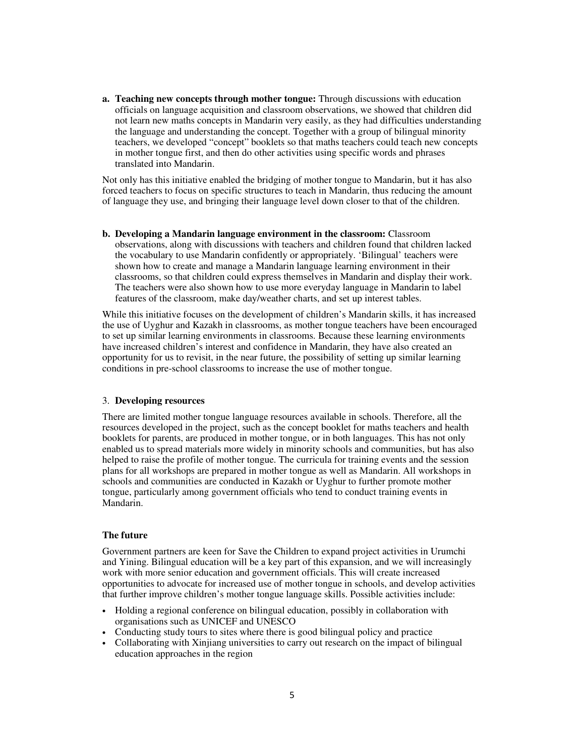**a. Teaching new concepts through mother tongue:** Through discussions with education officials on language acquisition and classroom observations, we showed that children did not learn new maths concepts in Mandarin very easily, as they had difficulties understanding the language and understanding the concept. Together with a group of bilingual minority teachers, we developed "concept" booklets so that maths teachers could teach new concepts in mother tongue first, and then do other activities using specific words and phrases translated into Mandarin.

Not only has this initiative enabled the bridging of mother tongue to Mandarin, but it has also forced teachers to focus on specific structures to teach in Mandarin, thus reducing the amount of language they use, and bringing their language level down closer to that of the children.

**b. Developing a Mandarin language environment in the classroom:** Classroom observations, along with discussions with teachers and children found that children lacked the vocabulary to use Mandarin confidently or appropriately. 'Bilingual' teachers were shown how to create and manage a Mandarin language learning environment in their classrooms, so that children could express themselves in Mandarin and display their work. The teachers were also shown how to use more everyday language in Mandarin to label features of the classroom, make day/weather charts, and set up interest tables.

While this initiative focuses on the development of children's Mandarin skills, it has increased the use of Uyghur and Kazakh in classrooms, as mother tongue teachers have been encouraged to set up similar learning environments in classrooms. Because these learning environments have increased children's interest and confidence in Mandarin, they have also created an opportunity for us to revisit, in the near future, the possibility of setting up similar learning conditions in pre-school classrooms to increase the use of mother tongue.

#### 3. **Developing resources**

There are limited mother tongue language resources available in schools. Therefore, all the resources developed in the project, such as the concept booklet for maths teachers and health booklets for parents, are produced in mother tongue, or in both languages. This has not only enabled us to spread materials more widely in minority schools and communities, but has also helped to raise the profile of mother tongue. The curricula for training events and the session plans for all workshops are prepared in mother tongue as well as Mandarin. All workshops in schools and communities are conducted in Kazakh or Uyghur to further promote mother tongue, particularly among government officials who tend to conduct training events in Mandarin.

# **The future**

Government partners are keen for Save the Children to expand project activities in Urumchi and Yining. Bilingual education will be a key part of this expansion, and we will increasingly work with more senior education and government officials. This will create increased opportunities to advocate for increased use of mother tongue in schools, and develop activities that further improve children's mother tongue language skills. Possible activities include:

- Holding a regional conference on bilingual education, possibly in collaboration with organisations such as UNICEF and UNESCO
- Conducting study tours to sites where there is good bilingual policy and practice
- Collaborating with Xinjiang universities to carry out research on the impact of bilingual education approaches in the region